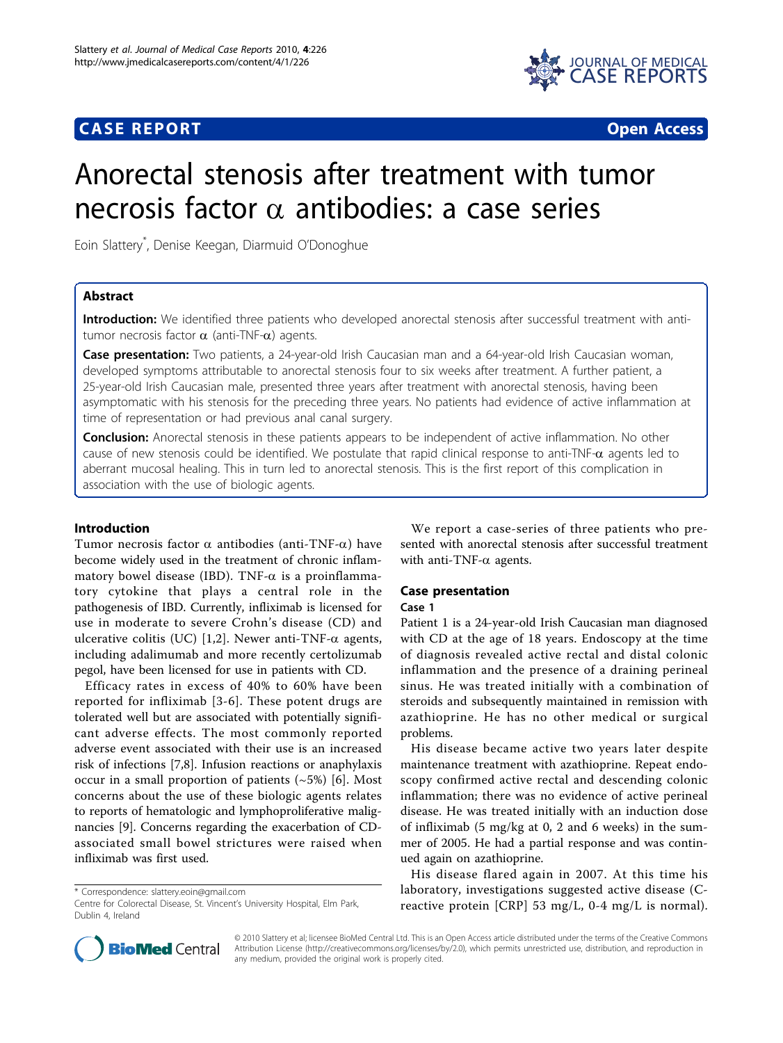# **CASE REPORT CASE REPORT CASE REPORT**



# Anorectal stenosis after treatment with tumor necrosis factor  $\alpha$  antibodies: a case series

Eoin Slattery\* , Denise Keegan, Diarmuid O'Donoghue

# Abstract

Introduction: We identified three patients who developed anorectal stenosis after successful treatment with antitumor necrosis factor  $\alpha$  (anti-TNF- $\alpha$ ) agents.

Case presentation: Two patients, a 24-year-old Irish Caucasian man and a 64-year-old Irish Caucasian woman, developed symptoms attributable to anorectal stenosis four to six weeks after treatment. A further patient, a 25-year-old Irish Caucasian male, presented three years after treatment with anorectal stenosis, having been asymptomatic with his stenosis for the preceding three years. No patients had evidence of active inflammation at time of representation or had previous anal canal surgery.

**Conclusion:** Anorectal stenosis in these patients appears to be independent of active inflammation. No other cause of new stenosis could be identified. We postulate that rapid clinical response to anti-TNF- $\alpha$  agents led to aberrant mucosal healing. This in turn led to anorectal stenosis. This is the first report of this complication in association with the use of biologic agents.

#### Introduction

Tumor necrosis factor  $\alpha$  antibodies (anti-TNF- $\alpha$ ) have become widely used in the treatment of chronic inflammatory bowel disease (IBD). TNF- $\alpha$  is a proinflammatory cytokine that plays a central role in the pathogenesis of IBD. Currently, infliximab is licensed for use in moderate to severe Crohn's disease (CD) and ulcerative colitis (UC) [[1,2](#page-2-0)]. Newer anti-TNF- $\alpha$  agents, including adalimumab and more recently certolizumab pegol, have been licensed for use in patients with CD.

Efficacy rates in excess of 40% to 60% have been reported for infliximab [[3-6\]](#page-2-0). These potent drugs are tolerated well but are associated with potentially significant adverse effects. The most commonly reported adverse event associated with their use is an increased risk of infections [[7,8\]](#page-2-0). Infusion reactions or anaphylaxis occur in a small proportion of patients  $(\sim 5\%)$  [\[6](#page-2-0)]. Most concerns about the use of these biologic agents relates to reports of hematologic and lymphoproliferative malignancies [\[9](#page-2-0)]. Concerns regarding the exacerbation of CDassociated small bowel strictures were raised when infliximab was first used.

\* Correspondence: [slattery.eoin@gmail.com](mailto:slattery.eoin@gmail.com)

We report a case-series of three patients who presented with anorectal stenosis after successful treatment with anti-TNF- $\alpha$  agents.

# Case presentation

#### Case 1

Patient 1 is a 24-year-old Irish Caucasian man diagnosed with CD at the age of 18 years. Endoscopy at the time of diagnosis revealed active rectal and distal colonic inflammation and the presence of a draining perineal sinus. He was treated initially with a combination of steroids and subsequently maintained in remission with azathioprine. He has no other medical or surgical problems.

His disease became active two years later despite maintenance treatment with azathioprine. Repeat endoscopy confirmed active rectal and descending colonic inflammation; there was no evidence of active perineal disease. He was treated initially with an induction dose of infliximab (5 mg/kg at 0, 2 and 6 weeks) in the summer of 2005. He had a partial response and was continued again on azathioprine.

His disease flared again in 2007. At this time his laboratory, investigations suggested active disease (Creactive protein [CRP] 53 mg/L, 0-4 mg/L is normal).



© 2010 Slattery et al; licensee BioMed Central Ltd. This is an Open Access article distributed under the terms of the Creative Commons Attribution License [\(http://creativecommons.org/licenses/by/2.0](http://creativecommons.org/licenses/by/2.0)), which permits unrestricted use, distribution, and reproduction in any medium, provided the original work is properly cited.

Centre for Colorectal Disease, St. Vincent's University Hospital, Elm Park, Dublin 4, Ireland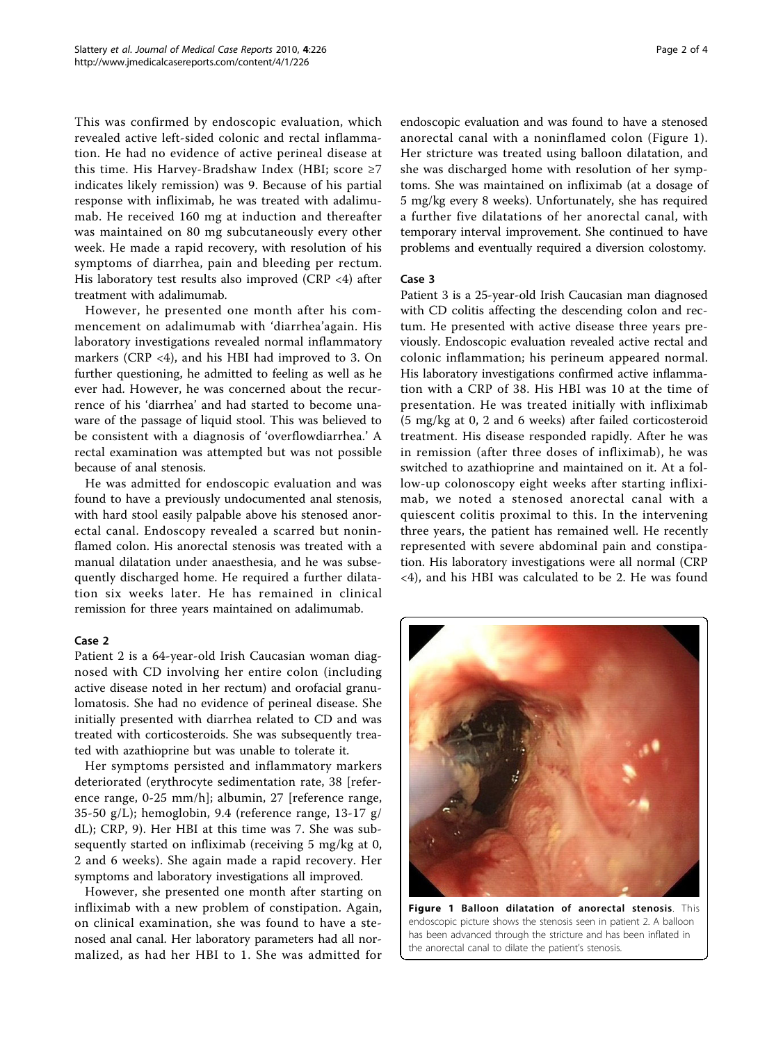This was confirmed by endoscopic evaluation, which revealed active left-sided colonic and rectal inflammation. He had no evidence of active perineal disease at this time. His Harvey-Bradshaw Index (HBI; score ≥7 indicates likely remission) was 9. Because of his partial response with infliximab, he was treated with adalimumab. He received 160 mg at induction and thereafter was maintained on 80 mg subcutaneously every other week. He made a rapid recovery, with resolution of his symptoms of diarrhea, pain and bleeding per rectum. His laboratory test results also improved (CRP <4) after treatment with adalimumab.

However, he presented one month after his commencement on adalimumab with 'diarrhea'again. His laboratory investigations revealed normal inflammatory markers (CRP <4), and his HBI had improved to 3. On further questioning, he admitted to feeling as well as he ever had. However, he was concerned about the recurrence of his 'diarrhea' and had started to become unaware of the passage of liquid stool. This was believed to be consistent with a diagnosis of 'overflowdiarrhea.' A rectal examination was attempted but was not possible because of anal stenosis.

He was admitted for endoscopic evaluation and was found to have a previously undocumented anal stenosis, with hard stool easily palpable above his stenosed anorectal canal. Endoscopy revealed a scarred but noninflamed colon. His anorectal stenosis was treated with a manual dilatation under anaesthesia, and he was subsequently discharged home. He required a further dilatation six weeks later. He has remained in clinical remission for three years maintained on adalimumab.

## Case 2

Patient 2 is a 64-year-old Irish Caucasian woman diagnosed with CD involving her entire colon (including active disease noted in her rectum) and orofacial granulomatosis. She had no evidence of perineal disease. She initially presented with diarrhea related to CD and was treated with corticosteroids. She was subsequently treated with azathioprine but was unable to tolerate it.

Her symptoms persisted and inflammatory markers deteriorated (erythrocyte sedimentation rate, 38 [reference range, 0-25 mm/h]; albumin, 27 [reference range, 35-50 g/L); hemoglobin, 9.4 (reference range, 13-17 g/ dL); CRP, 9). Her HBI at this time was 7. She was subsequently started on infliximab (receiving 5 mg/kg at 0, 2 and 6 weeks). She again made a rapid recovery. Her symptoms and laboratory investigations all improved.

However, she presented one month after starting on infliximab with a new problem of constipation. Again, on clinical examination, she was found to have a stenosed anal canal. Her laboratory parameters had all normalized, as had her HBI to 1. She was admitted for

endoscopic evaluation and was found to have a stenosed anorectal canal with a noninflamed colon (Figure 1). Her stricture was treated using balloon dilatation, and she was discharged home with resolution of her symptoms. She was maintained on infliximab (at a dosage of 5 mg/kg every 8 weeks). Unfortunately, she has required a further five dilatations of her anorectal canal, with temporary interval improvement. She continued to have problems and eventually required a diversion colostomy.

#### Case 3

Patient 3 is a 25-year-old Irish Caucasian man diagnosed with CD colitis affecting the descending colon and rectum. He presented with active disease three years previously. Endoscopic evaluation revealed active rectal and colonic inflammation; his perineum appeared normal. His laboratory investigations confirmed active inflammation with a CRP of 38. His HBI was 10 at the time of presentation. He was treated initially with infliximab (5 mg/kg at 0, 2 and 6 weeks) after failed corticosteroid treatment. His disease responded rapidly. After he was in remission (after three doses of infliximab), he was switched to azathioprine and maintained on it. At a follow-up colonoscopy eight weeks after starting infliximab, we noted a stenosed anorectal canal with a quiescent colitis proximal to this. In the intervening three years, the patient has remained well. He recently represented with severe abdominal pain and constipation. His laboratory investigations were all normal (CRP <4), and his HBI was calculated to be 2. He was found



Figure 1 Balloon dilatation of anorectal stenosis. This endoscopic picture shows the stenosis seen in patient 2. A balloon has been advanced through the stricture and has been inflated in the anorectal canal to dilate the patient's stenosis.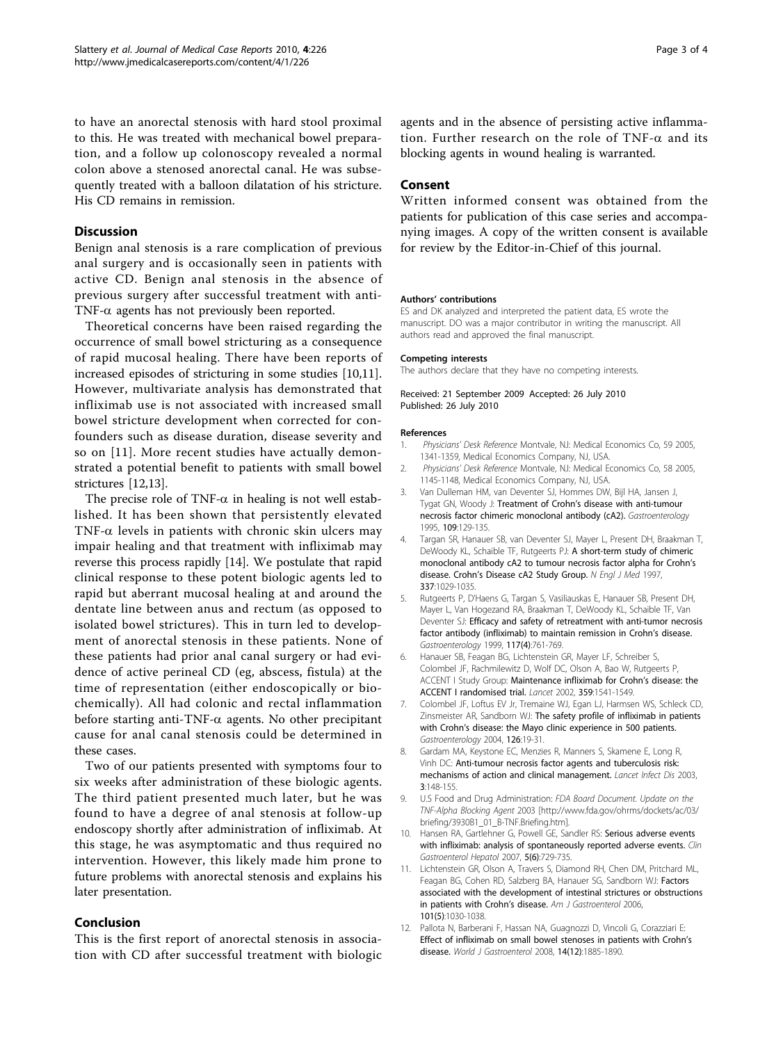<span id="page-2-0"></span>to have an anorectal stenosis with hard stool proximal to this. He was treated with mechanical bowel preparation, and a follow up colonoscopy revealed a normal colon above a stenosed anorectal canal. He was subsequently treated with a balloon dilatation of his stricture. His CD remains in remission.

#### **Discussion**

Benign anal stenosis is a rare complication of previous anal surgery and is occasionally seen in patients with active CD. Benign anal stenosis in the absence of previous surgery after successful treatment with anti-TNF- $\alpha$  agents has not previously been reported.

Theoretical concerns have been raised regarding the occurrence of small bowel stricturing as a consequence of rapid mucosal healing. There have been reports of increased episodes of stricturing in some studies [10,11]. However, multivariate analysis has demonstrated that infliximab use is not associated with increased small bowel stricture development when corrected for confounders such as disease duration, disease severity and so on [11]. More recent studies have actually demonstrated a potential benefit to patients with small bowel strictures [12,[13](#page-3-0)].

The precise role of TNF- $\alpha$  in healing is not well established. It has been shown that persistently elevated TNF- $\alpha$  levels in patients with chronic skin ulcers may impair healing and that treatment with infliximab may reverse this process rapidly [\[14](#page-3-0)]. We postulate that rapid clinical response to these potent biologic agents led to rapid but aberrant mucosal healing at and around the dentate line between anus and rectum (as opposed to isolated bowel strictures). This in turn led to development of anorectal stenosis in these patients. None of these patients had prior anal canal surgery or had evidence of active perineal CD (eg, abscess, fistula) at the time of representation (either endoscopically or biochemically). All had colonic and rectal inflammation before starting anti-TNF- $\alpha$  agents. No other precipitant cause for anal canal stenosis could be determined in these cases.

Two of our patients presented with symptoms four to six weeks after administration of these biologic agents. The third patient presented much later, but he was found to have a degree of anal stenosis at follow-up endoscopy shortly after administration of infliximab. At this stage, he was asymptomatic and thus required no intervention. However, this likely made him prone to future problems with anorectal stenosis and explains his later presentation.

#### Conclusion

This is the first report of anorectal stenosis in association with CD after successful treatment with biologic

agents and in the absence of persisting active inflammation. Further research on the role of TNF- $\alpha$  and its blocking agents in wound healing is warranted.

## Consent

Written informed consent was obtained from the patients for publication of this case series and accompanying images. A copy of the written consent is available for review by the Editor-in-Chief of this journal.

#### Authors' contributions

ES and DK analyzed and interpreted the patient data, ES wrote the manuscript. DO was a major contributor in writing the manuscript. All authors read and approved the final manuscript.

#### Competing interests

The authors declare that they have no competing interests.

Received: 21 September 2009 Accepted: 26 July 2010 Published: 26 July 2010

#### References

- 1. Physicians' Desk Reference Montvale, NJ: Medical Economics Co, 59 2005, 1341-1359, Medical Economics Company, NJ, USA.
- 2. Physicians' Desk Reference Montvale, NJ: Medical Economics Co, 58 2005, 1145-1148, Medical Economics Company, NJ, USA.
- 3. Van Dulleman HM, van Deventer SJ, Hommes DW, Bijl HA, Jansen J, Tygat GN, Woody J: Treatment of Crohn'[s disease with anti-tumour](http://www.ncbi.nlm.nih.gov/pubmed/7797011?dopt=Abstract) [necrosis factor chimeric monoclonal antibody \(cA2\).](http://www.ncbi.nlm.nih.gov/pubmed/7797011?dopt=Abstract) Gastroenterology 1995, 109:129-135.
- 4. Targan SR, Hanauer SB, van Deventer SJ, Mayer L, Present DH, Braakman T, DeWoody KL, Schaible TF, Rutgeerts PJ: [A short-term study of chimeric](http://www.ncbi.nlm.nih.gov/pubmed/9321530?dopt=Abstract) [monoclonal antibody cA2 to tumour necrosis factor alpha for Crohn](http://www.ncbi.nlm.nih.gov/pubmed/9321530?dopt=Abstract)'s disease. Crohn'[s Disease cA2 Study Group.](http://www.ncbi.nlm.nih.gov/pubmed/9321530?dopt=Abstract) N Engl J Med 1997, 337:1029-1035.
- 5. Rutgeerts P, D'Haens G, Targan S, Vasiliauskas E, Hanauer SB, Present DH, Mayer L, Van Hogezand RA, Braakman T, DeWoody KL, Schaible TF, Van Deventer SJ: [Efficacy and safety of retreatment with anti-tumor necrosis](http://www.ncbi.nlm.nih.gov/pubmed/10500056?dopt=Abstract) [factor antibody \(infliximab\) to maintain remission in Crohn](http://www.ncbi.nlm.nih.gov/pubmed/10500056?dopt=Abstract)'s disease. Gastroenterology 1999, 117(4):761-769.
- 6. Hanauer SB, Feagan BG, Lichtenstein GR, Mayer LF, Schreiber S, Colombel JF, Rachmilewitz D, Wolf DC, Olson A, Bao W, Rutgeerts P, ACCENT I Study Group: [Maintenance infliximab for Crohn](http://www.ncbi.nlm.nih.gov/pubmed/12047962?dopt=Abstract)'s disease: the [ACCENT I randomised trial.](http://www.ncbi.nlm.nih.gov/pubmed/12047962?dopt=Abstract) Lancet 2002, 359:1541-1549.
- 7. Colombel JF, Loftus EV Jr, Tremaine WJ, Egan LJ, Harmsen WS, Schleck CD, Zinsmeister AR, Sandborn WJ: [The safety profile of infliximab in patients](http://www.ncbi.nlm.nih.gov/pubmed/14699483?dopt=Abstract) with Crohn'[s disease: the Mayo clinic experience in 500 patients.](http://www.ncbi.nlm.nih.gov/pubmed/14699483?dopt=Abstract) Gastroenterology 2004, 126:19-31.
- 8. Gardam MA, Keystone EC, Menzies R, Manners S, Skamene E, Long R, Vinh DC: [Anti-tumour necrosis factor agents and tuberculosis risk:](http://www.ncbi.nlm.nih.gov/pubmed/12614731?dopt=Abstract) [mechanisms of action and clinical management.](http://www.ncbi.nlm.nih.gov/pubmed/12614731?dopt=Abstract) Lancet Infect Dis 2003, 3:148-155.
- 9. U.S Food and Drug Administration: FDA Board Document. Update on the TNF-Alpha Blocking Agent 2003 [[http://www.fda.gov/ohrms/dockets/ac/03/](http://www.fda.gov/ohrms/dockets/ac/03/briefing/3930B1_01_B-TNF.Briefing.htm) [briefing/3930B1\\_01\\_B-TNF.Briefing.htm](http://www.fda.gov/ohrms/dockets/ac/03/briefing/3930B1_01_B-TNF.Briefing.htm)].
- 10. Hansen RA, Gartlehner G, Powell GE, Sandler RS: [Serious adverse events](http://www.ncbi.nlm.nih.gov/pubmed/17481964?dopt=Abstract) [with infliximab: analysis of spontaneously reported adverse events.](http://www.ncbi.nlm.nih.gov/pubmed/17481964?dopt=Abstract) Clin Gastroenterol Hepatol 2007, 5(6):729-735.
- 11. Lichtenstein GR, Olson A, Travers S, Diamond RH, Chen DM, Pritchard ML, Feagan BG, Cohen RD, Salzberg BA, Hanauer SG, Sandborn WJ: [Factors](http://www.ncbi.nlm.nih.gov/pubmed/16606351?dopt=Abstract) [associated with the development of intestinal strictures or obstructions](http://www.ncbi.nlm.nih.gov/pubmed/16606351?dopt=Abstract) [in patients with Crohn](http://www.ncbi.nlm.nih.gov/pubmed/16606351?dopt=Abstract)'s disease. Am J Gastroenterol 2006. 101(5):1030-1038.
- 12. Pallota N, Barberani F, Hassan NA, Guagnozzi D, Vincoli G, Corazziari E: [Effect of infliximab on small bowel stenoses in patients with Crohn](http://www.ncbi.nlm.nih.gov/pubmed/18350627?dopt=Abstract)'s [disease.](http://www.ncbi.nlm.nih.gov/pubmed/18350627?dopt=Abstract) World J Gastroenterol 2008, 14(12):1885-1890.